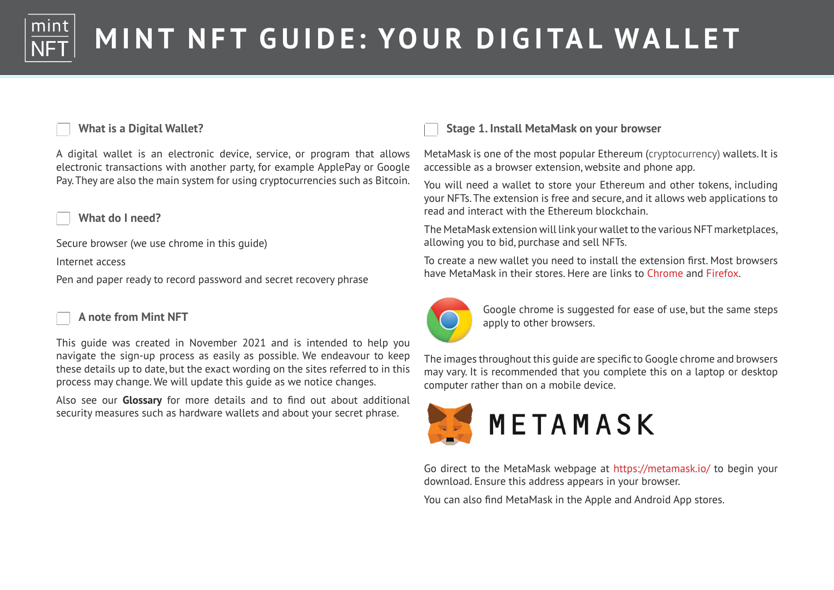

### **What is a Digital Wallet?**

A digital wallet is an electronic device, service, or program that allows electronic transactions with another party, for example ApplePay or Google Pay. They are also the main system for using cryptocurrencies such as Bitcoin.

**What do I need?**

Secure browser (we use chrome in this guide)

Internet access

Pen and paper ready to record password and secret recovery phrase

#### **A note from Mint NFT**

This guide was created in November 2021 and is intended to help you navigate the sign-up process as easily as possible. We endeavour to keep these details up to date, but the exact wording on the sites referred to in this process may change. We will update this guide as we notice changes.

Also see our **Glossary** for more details and to find out about additional security measures such as hardware wallets and about your secret phrase.

### **Stage 1. Install MetaMask on your browser**

MetaMask is one of the most popular Ethereum (cryptocurrency) wallets. It is accessible as a browser extension, website and phone app.

You will need a wallet to store your Ethereum and other tokens, including your NFTs. The extension is free and secure, and it allows web applications to read and interact with the Ethereum blockchain.

The MetaMask extension will link your wallet to the various NFT marketplaces, allowing you to bid, purchase and sell NFTs.

To create a new wallet you need to install the extension first. Most browsers have MetaMask in their stores. Here are links to [Chrome](https://www.google.com.au/chrome/) and [Firefox.](https://www.mozilla.org/en-US/firefox/new/)



Google chrome is suggested for ease of use, but the same steps apply to other browsers.

The images throughout this guide are specific to Google chrome and browsers may vary. It is recommended that you complete this on a laptop or desktop computer rather than on a mobile device.



Go direct to the MetaMask webpage at <https://metamask.io/>to begin your download. Ensure this address appears in your browser.

You can also find MetaMask in the Apple and Android App stores.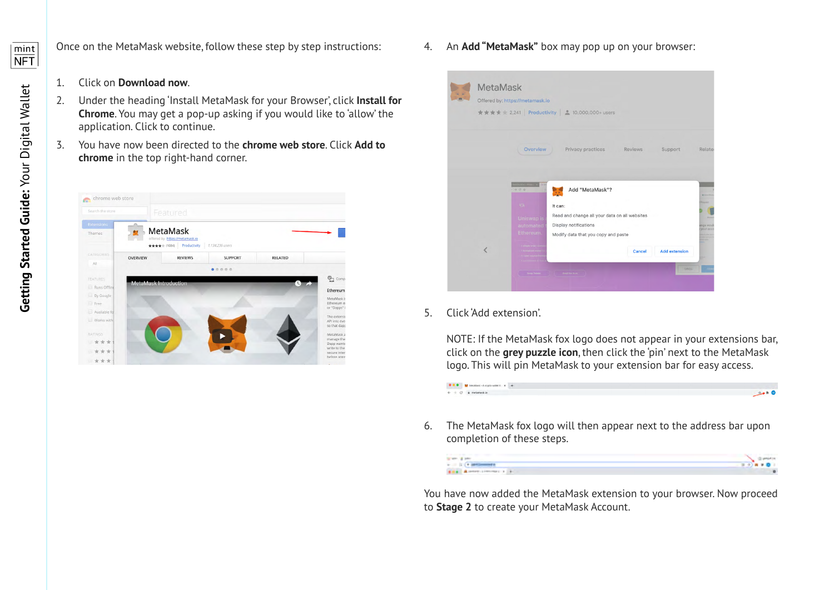

Once on the MetaMask website, follow these step by step instructions:

- 1. Click on **Download now**.
- 2. Under the heading 'Install MetaMask for your Browser', click **[Install for](http://metamask.io)  [Chrome](http://metamask.io)**. You may get a pop-up asking if you would like to 'allow' the application. Click to continue.
- 3. You have now been directed to the **chrome web store**. Click **Add to chrome** in the top right-hand corner.



4. An **Add "MetaMask"** box may pop up on your browser:



5. Click 'Add extension'.

NOTE: If the MetaMask fox logo does not appear in your extensions bar, click on the **grey puzzle icon**, then click the 'pin' next to the MetaMask logo. This will pin MetaMask to your extension bar for easy access.



6. The MetaMask fox logo will then appear next to the address bar upon completion of these steps.



You have now added the MetaMask extension to your browser. Now proceed to **Stage 2** to create your MetaMask Account.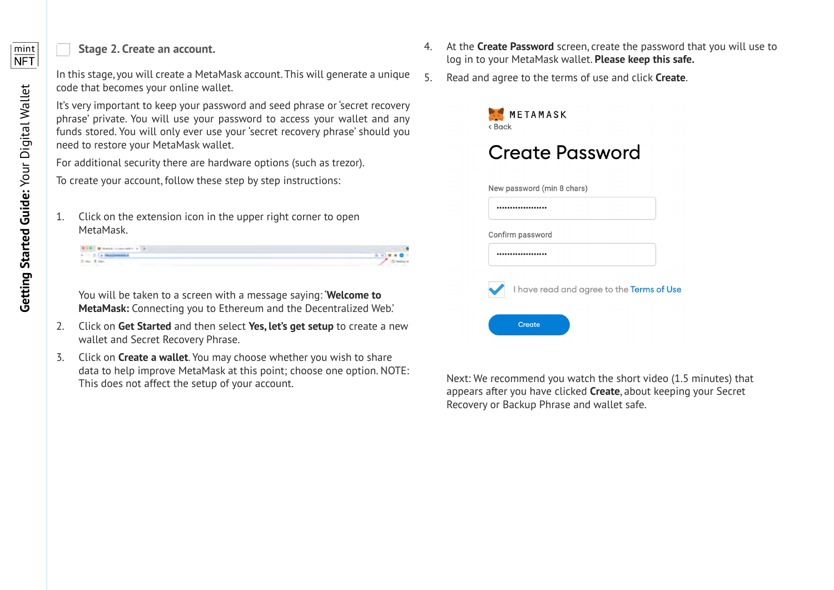### **Stage 2. Create an account.**

In this stage, you will create a MetaMask account. This will generate a unique code that becomes your online wallet.

It's very important to keep your password and seed phrase or 'secret recovery phrase' private. You will use your password to access your wallet and any funds stored. You will only ever use your 'secret recovery phrase' should you need to restore your MetaMask wallet.

For additional security there are hardware options (such as trezor).

To create your account, follow these step by step instructions:

1. Click on the extension icon in the upper right corner to open MetaMask.

| <b>U.S. M. Houston (Economist 1) 41</b> |  |
|-----------------------------------------|--|
| 27 Ex Mail Street<br>$-4-$              |  |
|                                         |  |

You will be taken to a screen with a message saying: '**Welcome to MetaMask:** Connecting you to Ethereum and the Decentralized Web.'

- 2. Click on **Get Started** and then select **Yes, let's get setup** to create a new wallet and Secret Recovery Phrase.
- 3. Click on **Create a wallet**. You may choose whether you wish to share data to help improve MetaMask at this point; choose one option. NOTE: This does not affect the setup of your account.
- 4. At the **Create Password** screen, create the password that you will use to log in to your MetaMask wallet. **Please keep this safe.**
- 5. Read and agree to the terms of use and click **Create**.



Next: We recommend you watch the short video (1.5 minutes) that appears after you have clicked **Create**, about keeping your Secret Recovery or Backup Phrase and wallet safe.

mint